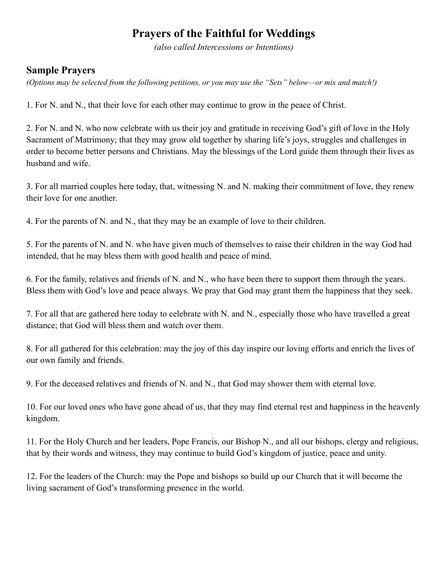# **Prayers of the Faithful for Weddings**

*(also called Intercessions or Intentions)*

### **Sample Prayers**

(Options may be selected from the following petitions, or you may use the "Sets" below—or mix and match!)

1. For N. and N., that their love for each other may continue to grow in the peace of Christ.

2. For N. and N. who now celebrate with us their joy and gratitude in receiving God's gift of love in the Holy Sacrament of Matrimony; that they may grow old together by sharing life's joys, struggles and challenges in order to become better persons and Christians. May the blessings of the Lord guide them through their lives as husband and wife.

3. For all married couples here today, that, witnessing N. and N. making their commitment of love, they renew their love for one another.

4. For the parents of N. and N., that they may be an example of love to their children.

5. For the parents of N. and N. who have given much of themselves to raise their children in the way God had intended, that he may bless them with good health and peace of mind.

6. For the family, relatives and friends of N. and N., who have been there to support them through the years. Bless them with God's love and peace always. We pray that God may grant them the happiness that they seek.

7. For all that are gathered here today to celebrate with N. and N., especially those who have travelled a great distance; that God will bless them and watch over them.

8. For all gathered for this celebration: may the joy of this day inspire our loving efforts and enrich the lives of our own family and friends.

9. For the deceased relatives and friends of N. and N., that God may shower them with eternal love.

10. For our loved ones who have gone ahead of us, that they may find eternal rest and happiness in the heavenly kingdom.

11. For the Holy Church and her leaders, Pope Francis, our Bishop N., and all our bishops, clergy and religious, that by their words and witness, they may continue to build God's kingdom of justice, peace and unity.

12. For the leaders of the Church: may the Pope and bishops so build up our Church that it will become the living sacrament of God's transforming presence in the world.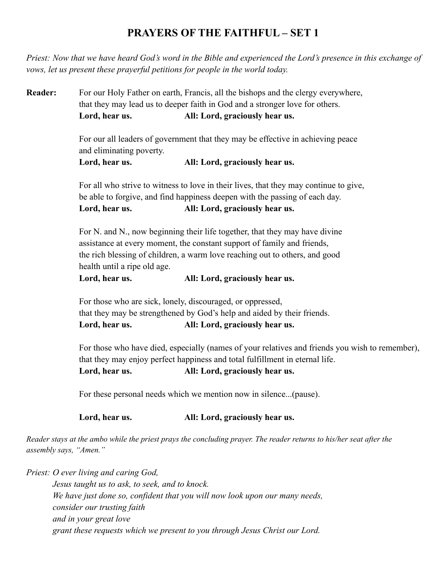## **PRAYERS OF THE FAITHFUL – SET 1**

*Priest: Now that we have heard God's word in the Bible and experienced the Lord's presence in this exchange of vows, let us present these prayerful petitions for people in the world today.*

**Reader:** For our Holy Father on earth, Francis, all the bishops and the clergy everywhere, that they may lead us to deeper faith in God and a stronger love for others. **Lord, hear us. All: Lord, graciously hear us.**

> For our all leaders of government that they may be effective in achieving peace and eliminating poverty.

**Lord, hear us. All: Lord, graciously hear us.**

For all who strive to witness to love in their lives, that they may continue to give, be able to forgive, and find happiness deepen with the passing of each day. **Lord, hear us. All: Lord, graciously hear us.**

For N. and N., now beginning their life together, that they may have divine assistance at every moment, the constant support of family and friends, the rich blessing of children, a warm love reaching out to others, and good health until a ripe old age.

**Lord, hear us. All: Lord, graciously hear us.**

For those who are sick, lonely, discouraged, or oppressed, that they may be strengthened by God's help and aided by their friends. **Lord, hear us. All: Lord, graciously hear us.**

For those who have died, especially (names of your relatives and friends you wish to remember), that they may enjoy perfect happiness and total fulfillment in eternal life. **Lord, hear us. All: Lord, graciously hear us.**

For these personal needs which we mention now in silence...(pause).

#### **Lord, hear us. All: Lord, graciously hear us.**

Reader stays at the ambo while the priest prays the concluding prayer. The reader returns to his/her seat after the *assembly says, "Amen."*

*Priest: O ever living and caring God, Jesus taught us to ask, to seek, and to knock. We have just done so, confident that you will now look upon our many needs, consider our trusting faith and in your great love grant these requests which we present to you through Jesus Christ our Lord.*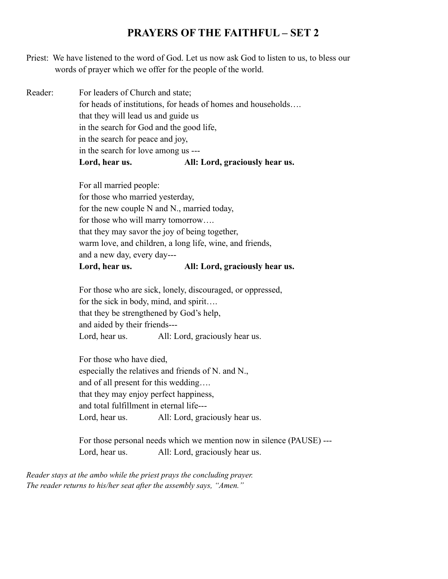### **PRAYERS OF THE FAITHFUL – SET 2**

- Priest: We have listened to the word of God. Let us now ask God to listen to us, to bless our words of prayer which we offer for the people of the world.
- Reader: For leaders of Church and state; for heads of institutions, for heads of homes and households…. that they will lead us and guide us in the search for God and the good life, in the search for peace and joy, in the search for love among us --- **Lord, hear us. All: Lord, graciously hear us.**

For all married people: for those who married yesterday, for the new couple N and N., married today, for those who will marry tomorrow…. that they may savor the joy of being together, warm love, and children, a long life, wine, and friends, and a new day, every day--- **Lord, hear us. All: Lord, graciously hear us.**

For those who are sick, lonely, discouraged, or oppressed, for the sick in body, mind, and spirit…. that they be strengthened by God's help, and aided by their friends--- Lord, hear us. All: Lord, graciously hear us.

For those who have died, especially the relatives and friends of N. and N., and of all present for this wedding…. that they may enjoy perfect happiness, and total fulfillment in eternal life--- Lord, hear us. All: Lord, graciously hear us.

For those personal needs which we mention now in silence (PAUSE) --- Lord, hear us. All: Lord, graciously hear us.

*Reader stays at the ambo while the priest prays the concluding prayer. The reader returns to his/her seat after the assembly says, "Amen."*